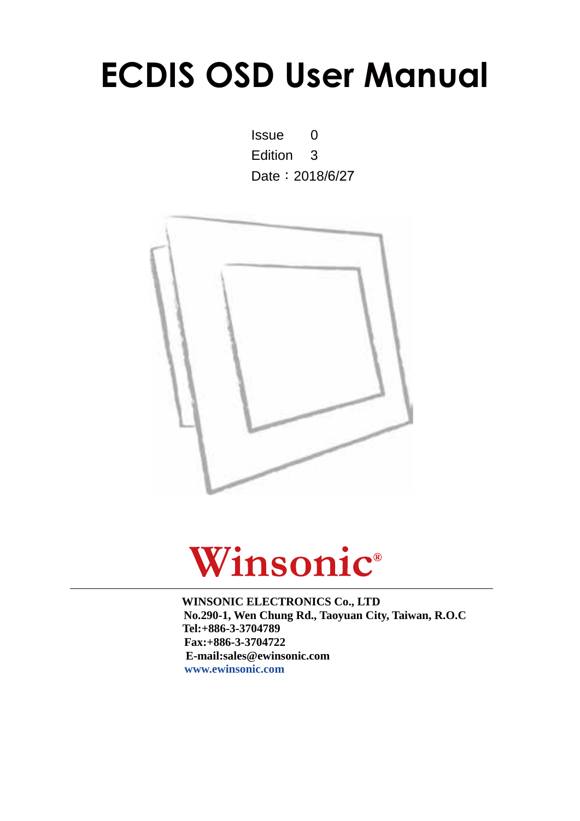# **ECDIS OSD User Manual**

Issue 0 Edition 3 Date: 2018/6/27





**WINSONIC ELECTRONICS Co., LTD No.290-1, Wen Chung Rd., Taoyuan City, Taiwan, R.O.C l:+886-3-3704789 Te ax:+886-3-3704722 F E-mail:sales@ewinsonic.com www.ewinsonic.com**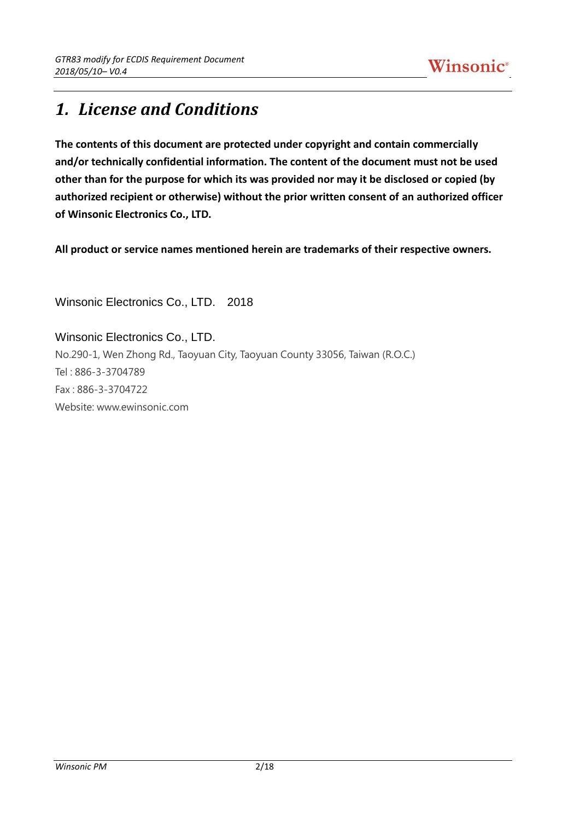# *1. License and Conditions*

**The contents of this document are protected under copyright and contain commercially and/or technically confidential information. The content of the document must not be used other than for the purpose for which its was provided nor may it be disclosed or copied (by authorized recipient or otherwise) without the prior written consent of an authorized officer of Winsonic Electronics Co., LTD.**

**All product or service names mentioned herein are trademarks of their respective owners.**

Winsonic Electronics Co., LTD. 2018

Winsonic Electronics Co., LTD. No.290-1, Wen Zhong Rd., Taoyuan City, Taoyuan County 33056, Taiwan (R.O.C.) Tel : 886-3-3704789 Fax : 886-3-3704722 Website: www.ewinsonic.com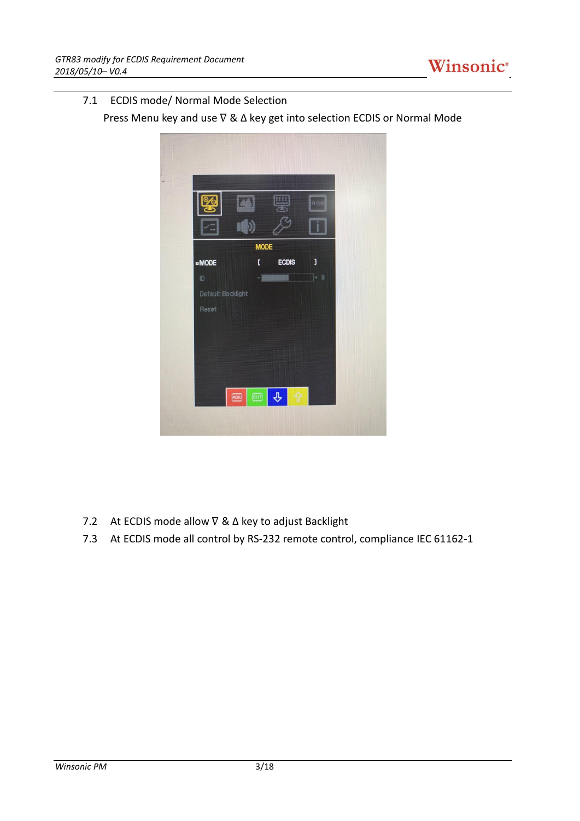

### 7.1 ECDIS mode/ Normal Mode Selection

Press Menu key and use ∇ & Δ key get into selection ECDIS or Normal Mode



- 7.2 At ECDIS mode allow ∇ & Δ key to adjust Backlight
- 7.3 At ECDIS mode all control by RS-232 remote control, compliance IEC 61162-1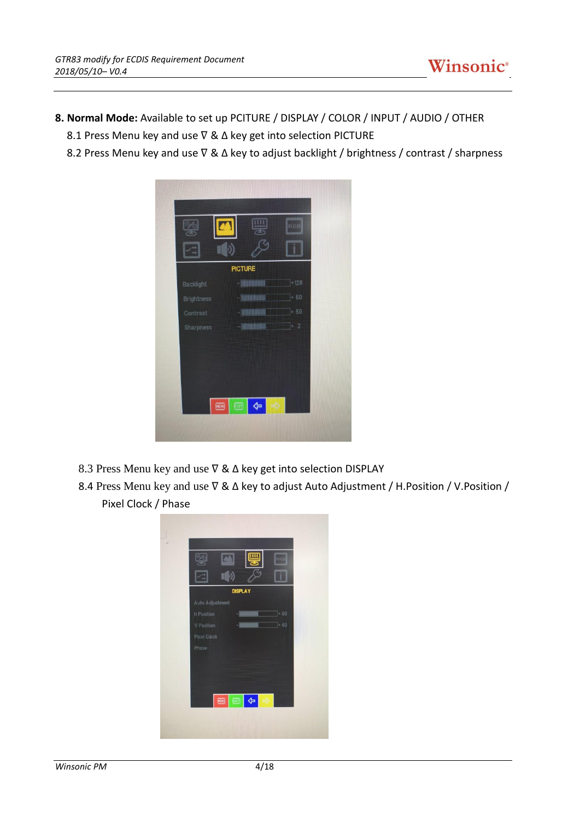- **8. Normal Mode:** Available to set up PCITURE / DISPLAY / COLOR / INPUT / AUDIO / OTHER
	- 8.1 Press Menu key and use  $\nabla$  &  $\Delta$  key get into selection PICTURE
	- 8.2 Press Menu key and use  $\nabla$  &  $\Delta$  key to adjust backlight / brightness / contrast / sharpness



- 8.3 Press Menu key and use  $\nabla$  &  $\Delta$  key get into selection DISPLAY
- 8.4 Press Menu key and use  $\nabla$  &  $\Delta$  key to adjust Auto Adjustment / H. Position / V. Position / Pixel Clock / Phase

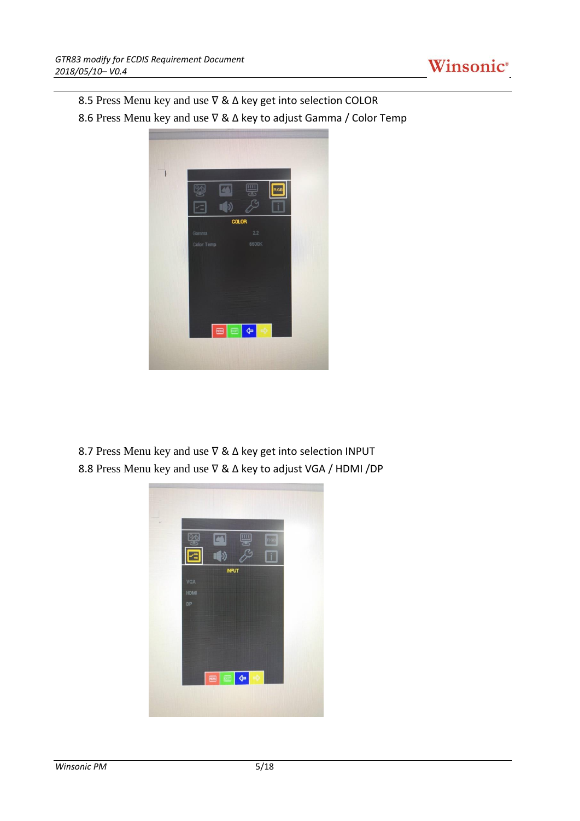

8.5 Press Menu key and use  $\nabla$  &  $\Delta$  key get into selection COLOR

8.6 Press Menu key and use  $\nabla$  &  $\Delta$  key to adjust Gamma / Color Temp



8.7 Press Menu key and use  $\nabla$  &  $\Delta$  key get into selection INPUT 8.8 Press Menu key and use  $\nabla$  &  $\Delta$  key to adjust VGA / HDMI /DP

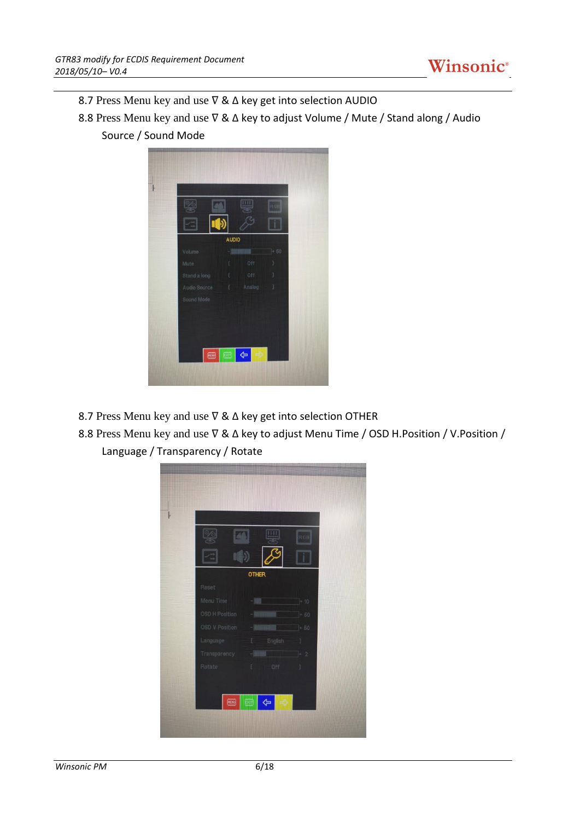![](_page_5_Picture_1.jpeg)

- 8.7 Press Menu key and use  $\nabla$  &  $\Delta$  key get into selection AUDIO
- 8.8 Press Menu key and use  $\nabla$  &  $\Delta$  key to adjust Volume / Mute / Stand along / Audio Source / Sound Mode

![](_page_5_Picture_4.jpeg)

- 8.7 Press Menu key and use  $\nabla$  &  $\Delta$  key get into selection OTHER
- 8.8 Press Menu key and use  $\nabla$  &  $\Delta$  key to adjust Menu Time / OSD H.Position / V.Position / Language / Transparency / Rotate

![](_page_5_Picture_7.jpeg)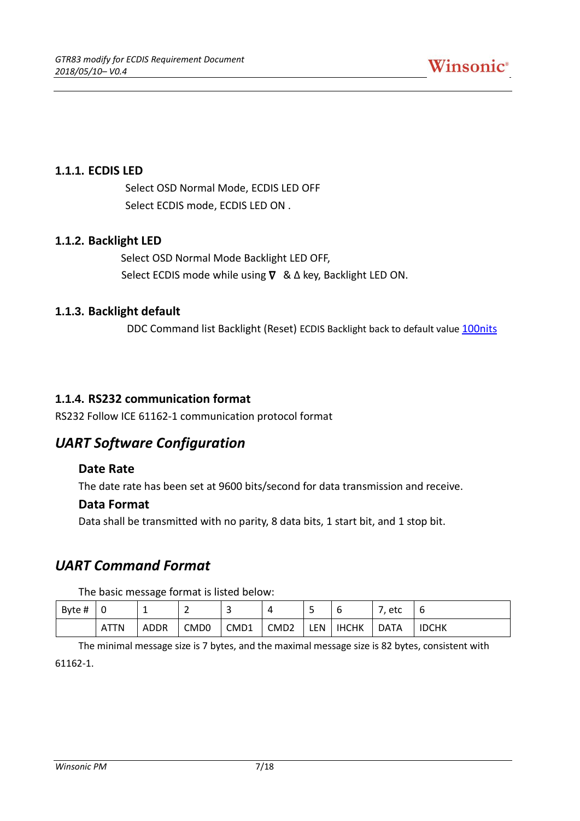### **1.1.1. ECDIS LED**

Select OSD Normal Mode, ECDIS LED OFF Select ECDIS mode, ECDIS LED ON .

### **1.1.2. Backlight LED**

Select OSD Normal Mode Backlight LED OFF, Select ECDIS mode while using  $\nabla \& \Delta$  key, Backlight LED ON.

### **1.1.3. Backlight default**

DDC Command list Backlight (Reset) ECDIS Backlight back to default value 100nits

### **1.1.4. RS232 communication format**

RS232 Follow ICE 61162-1 communication protocol format

### *UART Software Configuration*

### **Date Rate**

The date rate has been set at 9600 bits/second for data transmission and receive.

### **Data Format**

Data shall be transmitted with no parity, 8 data bits, 1 start bit, and 1 stop bit.

### *UART Command Format*

The basic message format is listed below:

| Byte # | 0           | ÷    | -                | ∽<br>ٮ |                  | ٮ   |              | etc         | ь            |
|--------|-------------|------|------------------|--------|------------------|-----|--------------|-------------|--------------|
|        | <b>ATTN</b> | ADDR | CMD <sub>0</sub> | CMD1   | CMD <sub>2</sub> | LEN | <b>IHCHK</b> | <b>DATA</b> | <b>IDCHK</b> |

The minimal message size is 7 bytes, and the maximal message size is 82 bytes, consistent with 61162-1.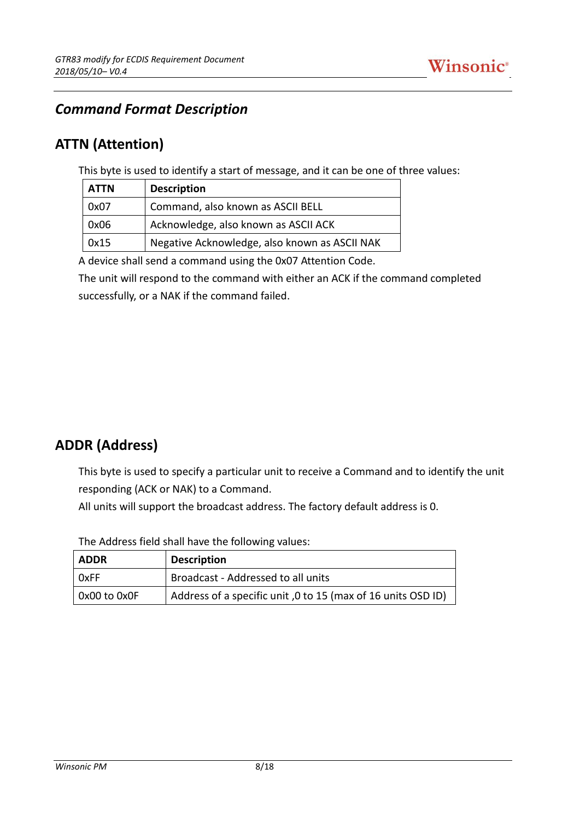### *Command Format Description*

### **ATTN (Attention)**

This byte is used to identify a start of message, and it can be one of three values:

| ATTN | <b>Description</b>                            |
|------|-----------------------------------------------|
| 0x07 | Command, also known as ASCII BELL             |
| 0x06 | Acknowledge, also known as ASCII ACK          |
| 0x15 | Negative Acknowledge, also known as ASCII NAK |

A device shall send a command using the 0x07 Attention Code.

The unit will respond to the command with either an ACK if the command completed successfully, or a NAK if the command failed.

## **ADDR (Address)**

This byte is used to specify a particular unit to receive a Command and to identify the unit responding (ACK or NAK) to a Command.

All units will support the broadcast address. The factory default address is 0.

| ADDR                 | <b>Description</b>                                           |
|----------------------|--------------------------------------------------------------|
| OxFF                 | Broadcast - Addressed to all units                           |
| $\vert$ 0x00 to 0x0F | Address of a specific unit, 0 to 15 (max of 16 units OSD ID) |

The Address field shall have the following values: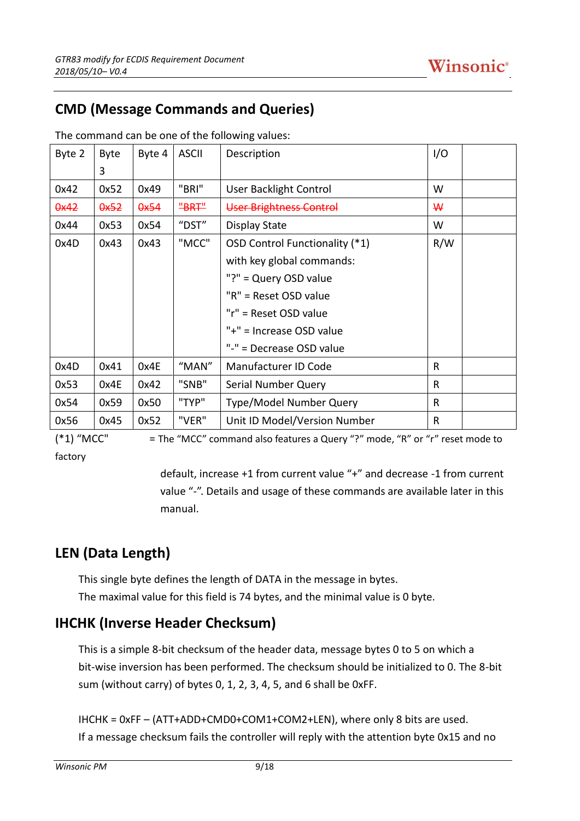# **CMD (Message Commands and Queries)**

| Byte 2 | <b>Byte</b> | Byte 4 | <b>ASCII</b> | Description                    | I/O |  |
|--------|-------------|--------|--------------|--------------------------------|-----|--|
|        | 3           |        |              |                                |     |  |
| 0x42   | 0x52        | 0x49   | "BRI"        | <b>User Backlight Control</b>  | W   |  |
| 0x42   | 0x52        | 0x54   | "BRT"        | User Brightness Control        | ₩   |  |
| 0x44   | 0x53        | 0x54   | $"$ DST $"$  | Display State                  | W   |  |
| 0x4D   | 0x43        | 0x43   | "MCC"        | OSD Control Functionality (*1) | R/W |  |
|        |             |        |              | with key global commands:      |     |  |
|        |             |        |              | "?" = Query OSD value          |     |  |
|        |             |        |              | "R" = Reset OSD value          |     |  |
|        |             |        |              | "r" = Reset OSD value          |     |  |
|        |             |        |              | "+" = Increase OSD value       |     |  |
|        |             |        |              | "-" = Decrease OSD value       |     |  |
| 0x4D   | 0x41        | 0x4E   | "MAN"        | Manufacturer ID Code           | R   |  |
| 0x53   | 0x4E        | 0x42   | "SNB"        | Serial Number Query            | R   |  |
| 0x54   | 0x59        | 0x50   | "TYP"        | Type/Model Number Query        | R   |  |
| 0x56   | 0x45        | 0x52   | "VER"        | Unit ID Model/Version Number   | R   |  |

The command can be one of the following values:

(\*1) "MCC" = The "MCC" command also features a Query "?" mode, "R" or "r" reset mode to factory

> default, increase +1 from current value "+" and decrease -1 from current value "-". Details and usage of these commands are available later in this manual.

# **LEN (Data Length)**

This single byte defines the length of DATA in the message in bytes. The maximal value for this field is 74 bytes, and the minimal value is 0 byte.

# **IHCHK (Inverse Header Checksum)**

This is a simple 8-bit checksum of the header data, message bytes 0 to 5 on which a bit-wise inversion has been performed. The checksum should be initialized to 0. The 8-bit sum (without carry) of bytes 0, 1, 2, 3, 4, 5, and 6 shall be 0xFF.

IHCHK = 0xFF – (ATT+ADD+CMD0+COM1+COM2+LEN), where only 8 bits are used. If a message checksum fails the controller will reply with the attention byte 0x15 and no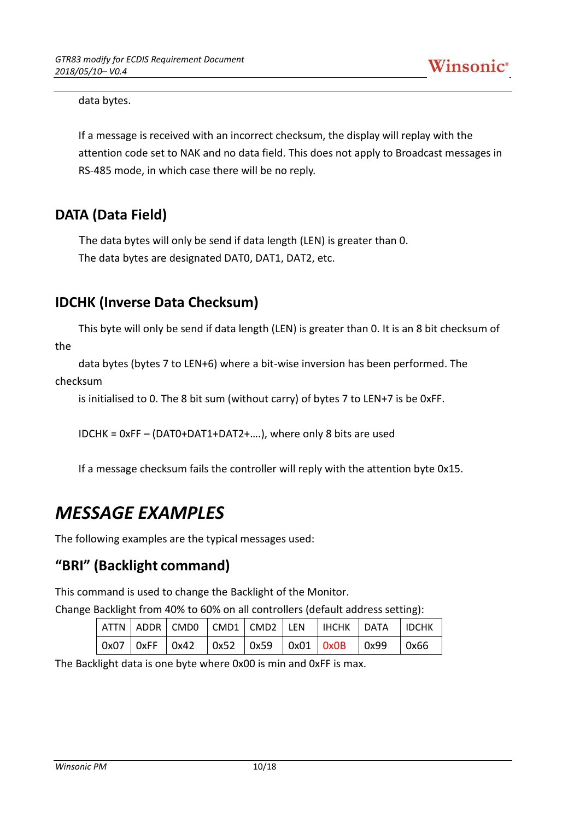![](_page_9_Picture_1.jpeg)

data bytes.

If a message is received with an incorrect checksum, the display will replay with the attention code set to NAK and no data field. This does not apply to Broadcast messages in RS-485 mode, in which case there will be no reply.

### **DATA (Data Field)**

The data bytes will only be send if data length (LEN) is greater than 0. The data bytes are designated DAT0, DAT1, DAT2, etc.

## **IDCHK (Inverse Data Checksum)**

This byte will only be send if data length (LEN) is greater than 0. It is an 8 bit checksum of the

data bytes (bytes 7 to LEN+6) where a bit-wise inversion has been performed. The checksum

is initialised to 0. The 8 bit sum (without carry) of bytes 7 to LEN+7 is be 0xFF.

IDCHK = 0xFF – (DAT0+DAT1+DAT2+….), where only 8 bits are used

If a message checksum fails the controller will reply with the attention byte 0x15.

# *MESSAGE EXAMPLES*

The following examples are the typical messages used:

### **"BRI" (Backlight command)**

This command is used to change the Backlight of the Monitor.

Change Backlight from 40% to 60% on all controllers (default address setting):

|  |  |  | ATTN ADDR CMD0 CMD1 CMD2 LEN HCHK DATA DCHK                          |  |
|--|--|--|----------------------------------------------------------------------|--|
|  |  |  | $\vert$ 0x07   0xFF   0x42   0x52   0x59   0x01   0x0B   0x99   0x66 |  |

The Backlight data is one byte where 0x00 is min and 0xFF is max.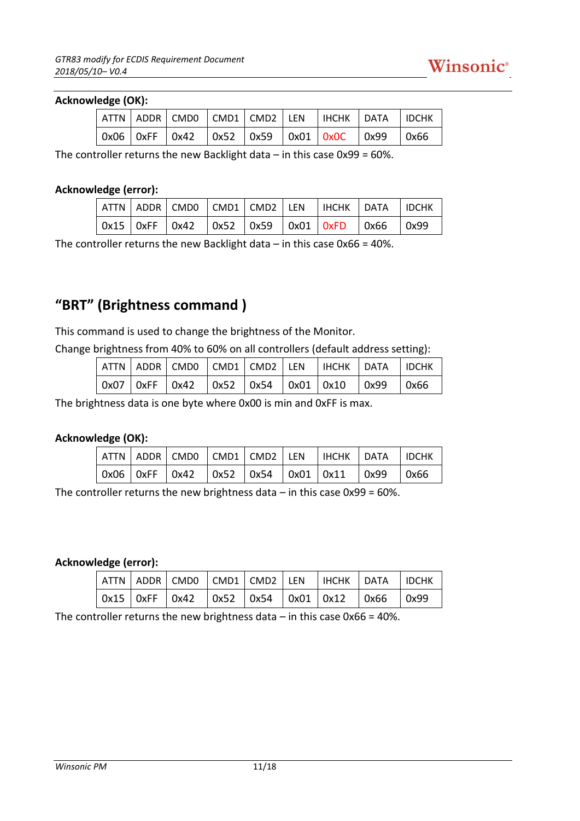![](_page_10_Picture_1.jpeg)

#### **Acknowledge (OK):**

|  |  |  |  | ATTN   ADDR   CMD0   CMD1   CMD2   LEN   IHCHK   DATA   IDCHK |  |
|--|--|--|--|---------------------------------------------------------------|--|
|  |  |  |  | 0x06   0xFF   0x42   0x52   0x59   0x01   0x0C   0x99   0x66  |  |

The controller returns the new Backlight data  $-$  in this case 0x99 = 60%.

#### **Acknowledge (error):**

|  |  |  | $\mid$ attn $\mid$ addr $\mid$ cmdo $\mid$ cmd $1$ $\mid$ cmd2 $\mid$ len $\mid$ ihchk $\mid$ data $\mid$ idchk      |  |
|--|--|--|----------------------------------------------------------------------------------------------------------------------|--|
|  |  |  | $\vert$ 0x15 $\vert$ 0xFF $\vert$ 0x42 $\vert$ 0x52 $\vert$ 0x59 $\vert$ 0x01 $\vert$ 0xFD $\vert$ 0x66 $\vert$ 0x99 |  |

The controller returns the new Backlight data  $-$  in this case 0x66 = 40%.

# **"BRT" (Brightness command )**

This command is used to change the brightness of the Monitor.

Change brightness from 40% to 60% on all controllers (default address setting):

|  |  |  |  | ATTN ADDR CMD0 CMD1 CMD2 LEN   IHCHK DATA IDCHK                                                                      |  |
|--|--|--|--|----------------------------------------------------------------------------------------------------------------------|--|
|  |  |  |  | $\vert$ 0x07 $\vert$ 0xFF $\vert$ 0x42 $\vert$ 0x52 $\vert$ 0x54 $\vert$ 0x01 $\vert$ 0x10 $\vert$ 0x99 $\vert$ 0x66 |  |

The brightness data is one byte where 0x00 is min and 0xFF is max.

### **Acknowledge (OK):**

|  |  |  | $\vert$ attn $\vert$ addr $\vert$ cmdo $\vert$ cmd1 $\vert$ cmd2 $\vert$ len $\vert$ ihchk $\vert$ data $\vert$ idchk |  |
|--|--|--|-----------------------------------------------------------------------------------------------------------------------|--|
|  |  |  | $\vert$ 0x06 $\vert$ 0xFF $\vert$ 0x42 $\vert$ 0x52 $\vert$ 0x54 $\vert$ 0x01 $\vert$ 0x11 $\vert$ 0x99 $\vert$ 0x66  |  |

The controller returns the new brightness data  $-$  in this case 0x99 = 60%.

### **Acknowledge (error):**

|  |  |  | $\vert$ attn $\vert$ addr $\vert$ cmdo $\vert$ cmd1 $\vert$ cmd2 $\vert$ len $\vert$ ihchk $\vert$ data $\vert$ idchk |  |
|--|--|--|-----------------------------------------------------------------------------------------------------------------------|--|
|  |  |  | $\vert$ 0x15 $\vert$ 0xFF $\vert$ 0x42 $\vert$ 0x52 $\vert$ 0x54 $\vert$ 0x01 $\vert$ 0x12 $\vert$ 0x66 $\vert$ 0x99  |  |

The controller returns the new brightness data  $-$  in this case 0x66 = 40%.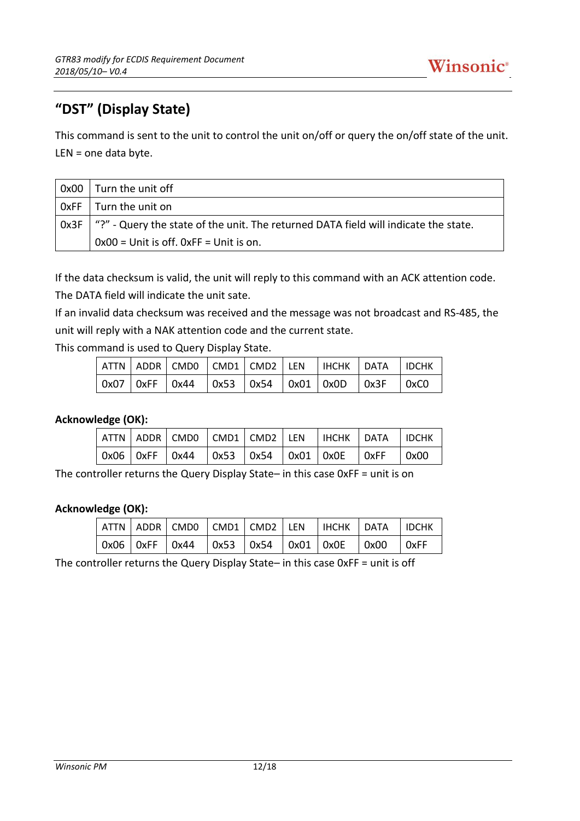# **"DST" (Display State)**

This command is sent to the unit to control the unit on/off or query the on/off state of the unit. LEN = one data byte.

| 0x00 | Turn the unit off                                                                          |
|------|--------------------------------------------------------------------------------------------|
|      | $OxFF$   Turn the unit on                                                                  |
|      | Ox3F   "?" - Query the state of the unit. The returned DATA field will indicate the state. |
|      | $0x00 =$ Unit is off. $0xFF =$ Unit is on.                                                 |

If the data checksum is valid, the unit will reply to this command with an ACK attention code. The DATA field will indicate the unit sate.

If an invalid data checksum was received and the message was not broadcast and RS-485, the unit will reply with a NAK attention code and the current state.

This command is used to Query Display State.

|  |  |  | ATTN ADDR CMD0 CMD1 CMD2 LEN   IHCHK   DATA   IDCHK                                                                  |  |
|--|--|--|----------------------------------------------------------------------------------------------------------------------|--|
|  |  |  | $\vert$ 0x07 $\vert$ 0xFF $\vert$ 0x44 $\vert$ 0x53 $\vert$ 0x54 $\vert$ 0x01 $\vert$ 0x0D $\vert$ 0x3F $\vert$ 0xC0 |  |

### **Acknowledge (OK):**

|  |  |  | $\vert$ attn $\vert$ addr $\vert$ cmdo $\vert$ cmd1 $\vert$ cmd2 $\vert$ len $\vert$ ihchk $\vert$ data $\vert$ idchk |  |
|--|--|--|-----------------------------------------------------------------------------------------------------------------------|--|
|  |  |  | $\vert$ 0x06 $\vert$ 0xFF $\vert$ 0x44 $\vert$ 0x53 $\vert$ 0x54 $\vert$ 0x01 $\vert$ 0x0E $\vert$ 0xFF $\vert$ 0x00  |  |

The controller returns the Query Display State– in this case 0xFF = unit is on

### **Acknowledge (OK):**

|  |  |  | ATTN ADDR CMD0 CMD1 CMD2 LEN HCHK DATA IDCHK                                                                         |  |
|--|--|--|----------------------------------------------------------------------------------------------------------------------|--|
|  |  |  | $\vert$ 0x06 $\vert$ 0xFF $\vert$ 0x44 $\vert$ 0x53 $\vert$ 0x54 $\vert$ 0x01 $\vert$ 0x0E $\vert$ 0x00 $\vert$ 0xFF |  |

The controller returns the Query Display State– in this case 0xFF = unit is off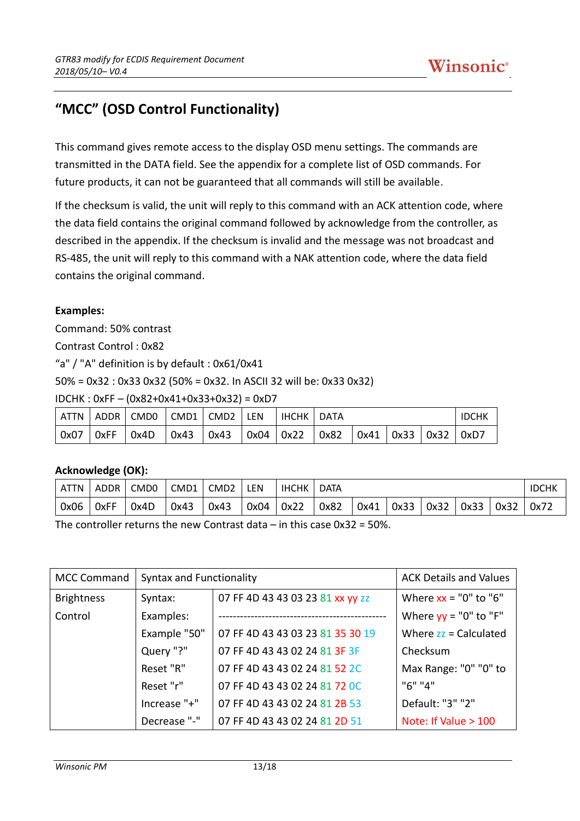# **"MCC" (OSD Control Functionality)**

This command gives remote access to the display OSD menu settings. The commands are transmitted in the DATA field. See the appendix for a complete list of OSD commands. For future products, it can not be guaranteed that all commands will still be available.

If the checksum is valid, the unit will reply to this command with an ACK attention code, where the data field contains the original command followed by acknowledge from the controller, as described in the appendix. If the checksum is invalid and the message was not broadcast and RS-485, the unit will reply to this command with a NAK attention code, where the data field contains the original command.

### **Examples:**

Command: 50% contrast

Contrast Control : 0x82

"a" / "A" definition is by default : 0x61/0x41

50% = 0x32 : 0x33 0x32 (50% = 0x32. In ASCII 32 will be: 0x33 0x32)

IDCHK : 0xFF – (0x82+0x41+0x33+0x32) = 0xD7

| l ATTN                    | ADDR   CMD0   CMD1   CMD2   LEN |                                                                  | I IHCHK I DATA |  |                    |  | <b>IDCHK</b> |      |
|---------------------------|---------------------------------|------------------------------------------------------------------|----------------|--|--------------------|--|--------------|------|
| $\vert$ 0x07 $\vert$ 0xFF | 0x4D                            | $\vert$ 0x43 $\vert$ 0x43 $\vert$ 0x04 $\vert$ 0x22 $\vert$ 0x82 |                |  | 0x41   0x33   0x32 |  |              | 0xD7 |

### **Acknowledge (OK):**

| <b>ATTN</b> | <b>ADDR</b> | CMD <sub>0</sub> | CMD <sub>1</sub> | CMD <sub>2</sub> | LEN  | IHCHK | <b>DATA</b> |      |      |      |      | IDCHK |      |
|-------------|-------------|------------------|------------------|------------------|------|-------|-------------|------|------|------|------|-------|------|
| 0x06        | 0xFF        | 0x4D             | 0x43             | 0x43             | 0x04 | 0x22  | 0x82        | 0x41 | 0x33 | 0x32 | 0x33 | 0x32  | 0x72 |

The controller returns the new Contrast data – in this case  $0x32 = 50\%$ .

| <b>MCC Command</b> | <b>Syntax and Functionality</b> |                                  | <b>ACK Details and Values</b> |
|--------------------|---------------------------------|----------------------------------|-------------------------------|
| <b>Brightness</b>  | Syntax:                         | 07 FF 4D 43 43 03 23 81 xx yy zz | Where $xx = "0"$ to "6"       |
| Control            | Examples:                       |                                  | Where $yy = "0"$ to "F"       |
|                    | Example "50"                    | 07 FF 4D 43 43 03 23 81 35 30 19 | Where $zz =$ Calculated       |
|                    | Query "?"                       | 07 FF 4D 43 43 02 24 81 3F 3F    | Checksum                      |
|                    | Reset "R"                       | 07 FF 4D 43 43 02 24 81 52 2C    | Max Range: "0" "0" to         |
|                    | Reset "r"                       | 07 FF 4D 43 43 02 24 81 72 OC    | "6" "4"                       |
|                    | Increase "+"                    | 07 FF 4D 43 43 02 24 81 2B 53    | Default: "3" "2"              |
|                    | Decrease "-"                    | 07 FF 4D 43 43 02 24 81 2D 51    | Note: If Value > 100          |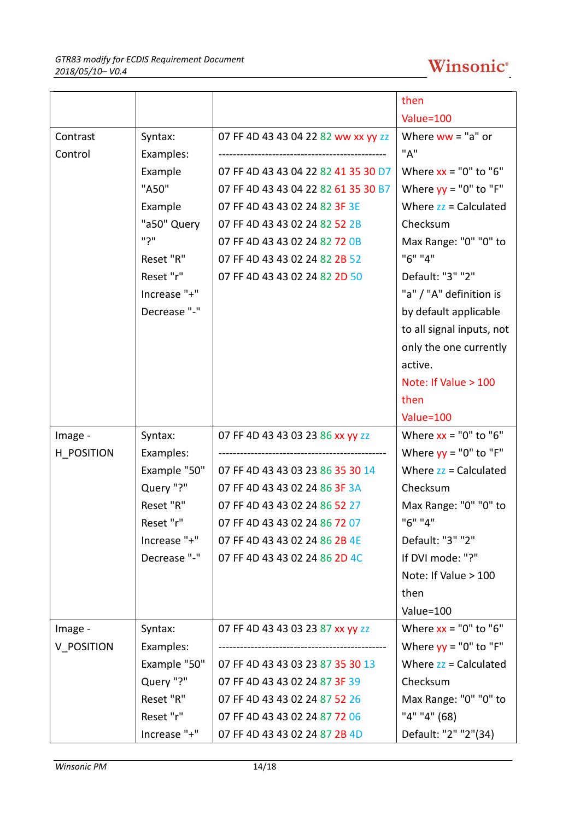|            |              |                                     | then                      |
|------------|--------------|-------------------------------------|---------------------------|
|            |              |                                     | Value=100                 |
| Contrast   | Syntax:      | 07 FF 4D 43 43 04 22 82 ww xx yy zz | Where $ww = "a"$ or       |
| Control    | Examples:    |                                     | "A"                       |
|            | Example      | 07 FF 4D 43 43 04 22 82 41 35 30 D7 | Where $xx = "0"$ to "6"   |
|            | "A50"        | 07 FF 4D 43 43 04 22 82 61 35 30 B7 | Where $yy = "0"$ to "F"   |
|            | Example      | 07 FF 4D 43 43 02 24 82 3F 3E       | Where $zz =$ Calculated   |
|            | "a50" Query  | 07 FF 4D 43 43 02 24 82 52 2B       | Checksum                  |
|            | ייךיי        | 07 FF 4D 43 43 02 24 82 72 0B       | Max Range: "0" "0" to     |
|            | Reset "R"    | 07 FF 4D 43 43 02 24 82 2B 52       | "6" "4"                   |
|            | Reset "r"    | 07 FF 4D 43 43 02 24 82 2D 50       | Default: "3" "2"          |
|            | Increase "+" |                                     | "a" / "A" definition is   |
|            | Decrease "-" |                                     | by default applicable     |
|            |              |                                     | to all signal inputs, not |
|            |              |                                     | only the one currently    |
|            |              |                                     | active.                   |
|            |              |                                     | Note: If Value > 100      |
|            |              |                                     | then                      |
|            |              |                                     | Value=100                 |
| Image -    | Syntax:      | 07 FF 4D 43 43 03 23 86 xx yy zz    | Where $xx = "0"$ to "6"   |
| H POSITION | Examples:    |                                     | Where $yy = "0"$ to "F"   |
|            | Example "50" | 07 FF 4D 43 43 03 23 86 35 30 14    | Where $zz =$ Calculated   |
|            | Query "?"    | 07 FF 4D 43 43 02 24 86 3F 3A       | Checksum                  |
|            | Reset "R"    | 07 FF 4D 43 43 02 24 86 52 27       | Max Range: "0" "0" to     |
|            | Reset "r"    | 07 FF 4D 43 43 02 24 86 72 07       | "6" "4"                   |
|            | Increase "+" | 07 FF 4D 43 43 02 24 86 2B 4E       | Default: "3" "2"          |
|            | Decrease "-" | 07 FF 4D 43 43 02 24 86 2D 4C       | If DVI mode: "?"          |
|            |              |                                     | Note: If Value > 100      |
|            |              |                                     | then                      |
|            |              |                                     | Value=100                 |
| Image -    | Syntax:      | 07 FF 4D 43 43 03 23 87 xx yy zz    | Where $xx = "0"$ to "6"   |
| V POSITION | Examples:    |                                     | Where $yy = "0"$ to "F"   |
|            | Example "50" | 07 FF 4D 43 43 03 23 87 35 30 13    | Where $zz =$ Calculated   |
|            | Query "?"    | 07 FF 4D 43 43 02 24 87 3F 39       | Checksum                  |
|            | Reset "R"    | 07 FF 4D 43 43 02 24 87 52 26       | Max Range: "0" "0" to     |
|            | Reset "r"    | 07 FF 4D 43 43 02 24 87 72 06       | "4" "4" (68)              |
|            | Increase "+" | 07 FF 4D 43 43 02 24 87 2B 4D       | Default: "2" "2"(34)      |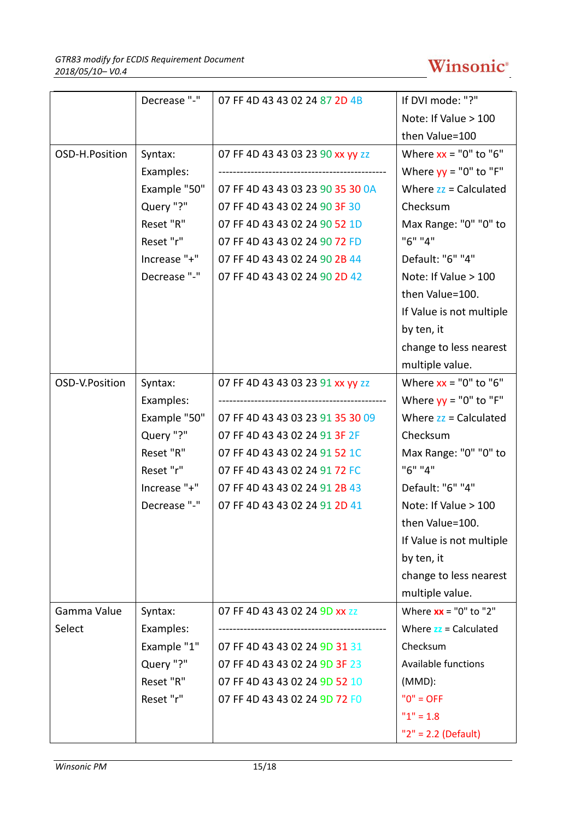# Winsonic<sup>®</sup>

|                | Decrease "-" | 07 FF 4D 43 43 02 24 87 2D 4B    | If DVI mode: "?"                   |
|----------------|--------------|----------------------------------|------------------------------------|
|                |              |                                  | Note: If Value > 100               |
|                |              |                                  | then Value=100                     |
| OSD-H.Position | Syntax:      | 07 FF 4D 43 43 03 23 90 xx yy zz | Where $xx = "0"$ to "6"            |
|                | Examples:    |                                  | Where $yy = "0"$ to "F"            |
|                | Example "50" | 07 FF 4D 43 43 03 23 90 35 30 0A | Where $zz =$ Calculated            |
|                | Query "?"    | 07 FF 4D 43 43 02 24 90 3F 30    | Checksum                           |
|                | Reset "R"    | 07 FF 4D 43 43 02 24 90 52 1D    | Max Range: "0" "0" to              |
|                | Reset "r"    | 07 FF 4D 43 43 02 24 90 72 FD    | "6" "4"                            |
|                | Increase "+" | 07 FF 4D 43 43 02 24 90 2B 44    | Default: "6" "4"                   |
|                | Decrease "-" | 07 FF 4D 43 43 02 24 90 2D 42    | Note: If Value > 100               |
|                |              |                                  | then Value=100.                    |
|                |              |                                  | If Value is not multiple           |
|                |              |                                  | by ten, it                         |
|                |              |                                  | change to less nearest             |
|                |              |                                  | multiple value.                    |
| OSD-V.Position | Syntax:      | 07 FF 4D 43 43 03 23 91 xx yy zz | Where $xx = "0"$ to "6"            |
|                | Examples:    |                                  | Where $yy = "0"$ to "F"            |
|                | Example "50" | 07 FF 4D 43 43 03 23 91 35 30 09 | Where $zz =$ Calculated            |
|                | Query "?"    | 07 FF 4D 43 43 02 24 91 3F 2F    | Checksum                           |
|                | Reset "R"    | 07 FF 4D 43 43 02 24 91 52 1C    | Max Range: "0" "0" to              |
|                | Reset "r"    | 07 FF 4D 43 43 02 24 91 72 FC    | "6" "4"                            |
|                | Increase "+" | 07 FF 4D 43 43 02 24 91 2B 43    | Default: "6" "4"                   |
|                | Decrease "-" | 07 FF 4D 43 43 02 24 91 2D 41    | Note: If Value > 100               |
|                |              |                                  | then Value=100.                    |
|                |              |                                  | If Value is not multiple           |
|                |              |                                  | by ten, it                         |
|                |              |                                  | change to less nearest             |
|                |              |                                  | multiple value.                    |
| Gamma Value    | Syntax:      | 07 FF 4D 43 43 02 24 9D XX ZZ    | Where $xx = "0"$ to "2"            |
| Select         | Examples:    |                                  | Where $\overline{z}z$ = Calculated |
|                | Example "1"  | 07 FF 4D 43 43 02 24 9D 31 31    | Checksum                           |
|                | Query "?"    | 07 FF 4D 43 43 02 24 9D 3F 23    | <b>Available functions</b>         |
|                | Reset "R"    | 07 FF 4D 43 43 02 24 9D 52 10    | $(MMD)$ :                          |
|                | Reset "r"    | 07 FF 4D 43 43 02 24 9D 72 FO    | $"0" = OFF$                        |
|                |              |                                  | $"1" = 1.8$                        |
|                |              |                                  | $"2" = 2.2 (Default)$              |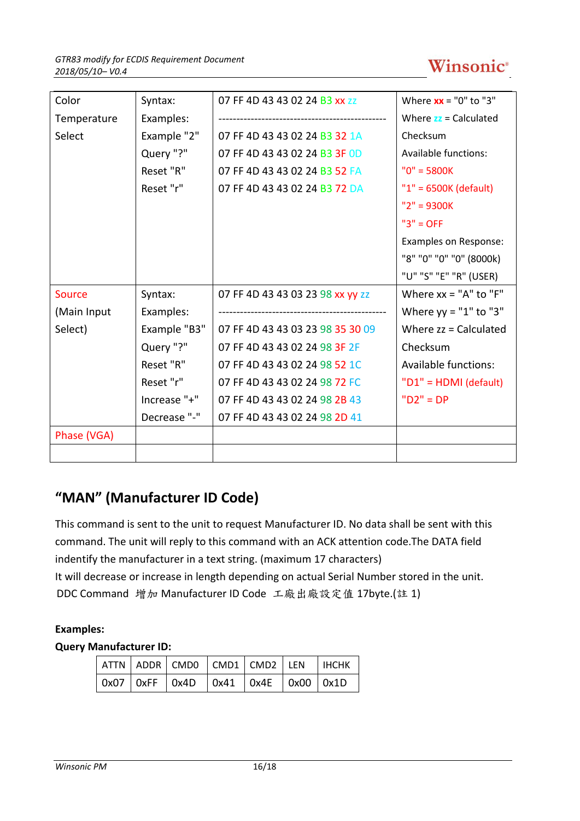![](_page_15_Picture_1.jpeg)

| Color       | Syntax:      | 07 FF 4D 43 43 02 24 B3 XX ZZ    | Where $xx = "0"$ to "3"            |
|-------------|--------------|----------------------------------|------------------------------------|
| Temperature | Examples:    |                                  | Where $\overline{z}z$ = Calculated |
| Select      | Example "2"  | 07 FF 4D 43 43 02 24 B3 32 1A    | Checksum                           |
|             | Query "?"    | 07 FF 4D 43 43 02 24 B3 3F OD    | <b>Available functions:</b>        |
|             | Reset "R"    | 07 FF 4D 43 43 02 24 B3 52 FA    | $"0" = 5800K$                      |
|             | Reset "r"    | 07 FF 4D 43 43 02 24 B3 72 DA    | $"1" = 6500K$ (default)            |
|             |              |                                  | $"2" = 9300K$                      |
|             |              |                                  | $"3" = OFF$                        |
|             |              |                                  | Examples on Response:              |
|             |              |                                  | "8" "0" "0" "0" (8000k)            |
|             |              |                                  | "U" "S" "E" "R" (USER)             |
| Source      | Syntax:      | 07 FF 4D 43 43 03 23 98 xx yy zz | Where $xx = "A"$ to $"F"$          |
| (Main Input | Examples:    |                                  | Where $yy = "1"$ to "3"            |
| Select)     | Example "B3" | 07 FF 4D 43 43 03 23 98 35 30 09 | Where $zz =$ Calculated            |
|             | Query "?"    | 07 FF 4D 43 43 02 24 98 3F 2F    | Checksum                           |
|             | Reset "R"    | 07 FF 4D 43 43 02 24 98 52 1C    | Available functions:               |
|             | Reset "r"    | 07 FF 4D 43 43 02 24 98 72 FC    | "D1" = HDMI (default)              |
|             | Increase "+" | 07 FF 4D 43 43 02 24 98 2B 43    | $"D2" = DP$                        |
|             | Decrease "-" | 07 FF 4D 43 43 02 24 98 2D 41    |                                    |
| Phase (VGA) |              |                                  |                                    |
|             |              |                                  |                                    |

# **"MAN" (Manufacturer ID Code)**

This command is sent to the unit to request Manufacturer ID. No data shall be sent with this command. The unit will reply to this command with an ACK attention code.The DATA field indentify the manufacturer in a text string. (maximum 17 characters) It will decrease or increase in length depending on actual Serial Number stored in the unit. DDC Command 增加 Manufacturer ID Code 工廠出廠設定值 17byte.(註 1)

### **Examples:**

### **Query Manufacturer ID:**

|  | ATTN   ADDR   CMD0   CMD1   CMD2   LEN   IHCHK |  |  |
|--|------------------------------------------------|--|--|
|  | 0x07   0xFF   0x4D   0x41   0x4E   0x00   0x1D |  |  |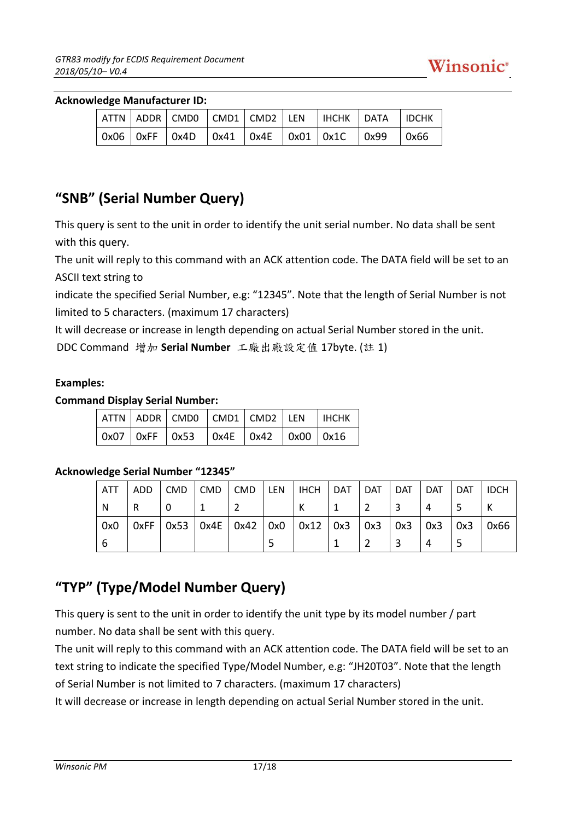#### **Acknowledge Manufacturer ID:**

|  |  |  |  | $ ATTN $ ADDR $ CMD0 $ $CMD1 $ $CMD2 $ LEN $ $ IHCHK $ $ DATA $ $ IDCHK                                              |  |
|--|--|--|--|----------------------------------------------------------------------------------------------------------------------|--|
|  |  |  |  | $\vert$ 0x06 $\vert$ 0xFF $\vert$ 0x4D $\vert$ 0x41 $\vert$ 0x4E $\vert$ 0x01 $\vert$ 0x1C $\vert$ 0x99 $\vert$ 0x66 |  |

### **"SNB" (Serial Number Query)**

This query is sent to the unit in order to identify the unit serial number. No data shall be sent with this query.

The unit will reply to this command with an ACK attention code. The DATA field will be set to an ASCII text string to

indicate the specified Serial Number, e.g: "12345". Note that the length of Serial Number is not limited to 5 characters. (maximum 17 characters)

It will decrease or increase in length depending on actual Serial Number stored in the unit.

```
DDC Command 增加 Serial Number 工廠出廠設定值 17byte. (註 1)
```
### **Examples:**

### **Command Display Serial Number:**

|  |                                                        |  | $ ATTN $ ADDR $ CMD0 $ $CMD1 $ $CMD2 $ LEN $ $ IHCHK $ $ |
|--|--------------------------------------------------------|--|----------------------------------------------------------|
|  | $\vert$ 0x07   0xFF   0x53   0x4E   0x42   0x00   0x16 |  |                                                          |

### **Acknowledge Serial Number "12345"**

| ATT | l ADD |  |  | $ $ CMD $ $ CMD $ $ CMD $ $ LEN $ $ IHCH $ $ DAT $ $                      | DAT DAT | I DAT | DAT   IDCH |      |
|-----|-------|--|--|---------------------------------------------------------------------------|---------|-------|------------|------|
| N   | ıR.   |  |  |                                                                           |         |       |            |      |
| 0x0 |       |  |  | 0xFF   0x53   0x4E   0x42   0x0    0x12   0x3    0x3    0x3    0x3    0x3 |         |       |            | 0x66 |
| 6   |       |  |  |                                                                           |         |       |            |      |

## **"TYP" (Type/Model Number Query)**

This query is sent to the unit in order to identify the unit type by its model number / part number. No data shall be sent with this query.

The unit will reply to this command with an ACK attention code. The DATA field will be set to an text string to indicate the specified Type/Model Number, e.g: "JH20T03". Note that the length of Serial Number is not limited to 7 characters. (maximum 17 characters)

It will decrease or increase in length depending on actual Serial Number stored in the unit.